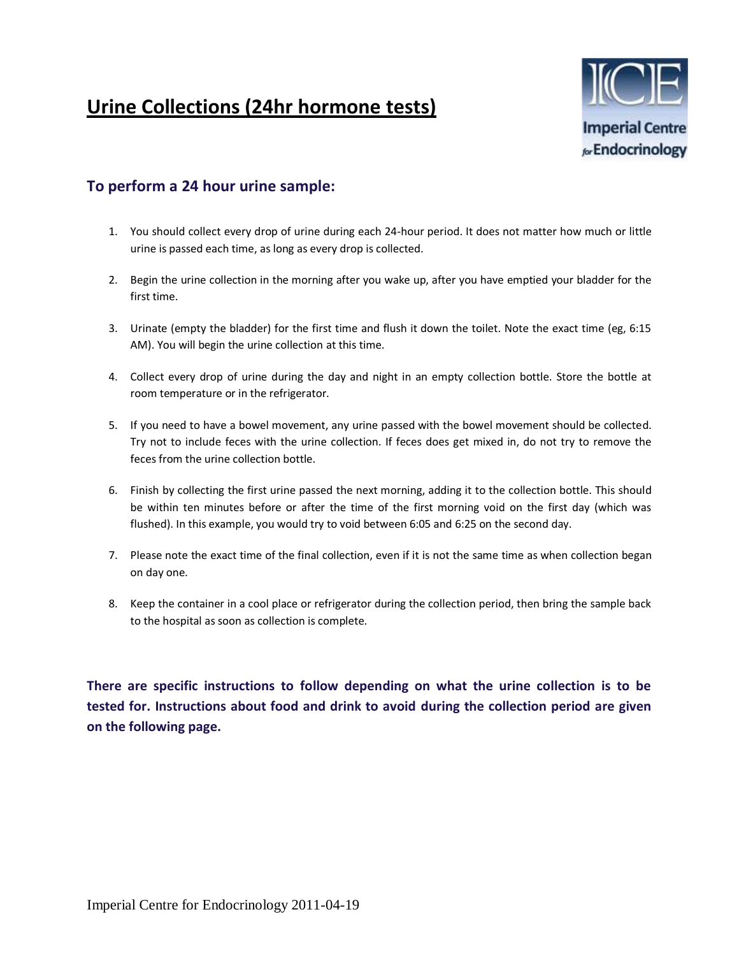## **Urine Collections (24hr hormone tests)**



## **To perform a 24 hour urine sample:**

- 1. You should collect every drop of urine during each 24-hour period. It does not matter how much or little urine is passed each time, as long as every drop is collected.
- 2. Begin the urine collection in the morning after you wake up, after you have emptied your bladder for the first time.
- 3. Urinate (empty the bladder) for the first time and flush it down the toilet. Note the exact time (eg, 6:15 AM). You will begin the urine collection at this time.
- 4. Collect every drop of urine during the day and night in an empty collection bottle. Store the bottle at room temperature or in the refrigerator.
- 5. If you need to have a bowel movement, any urine passed with the bowel movement should be collected. Try not to include feces with the urine collection. If feces does get mixed in, do not try to remove the feces from the urine collection bottle.
- 6. Finish by collecting the first urine passed the next morning, adding it to the collection bottle. This should be within ten minutes before or after the time of the first morning void on the first day (which was flushed). In this example, you would try to void between 6:05 and 6:25 on the second day.
- 7. Please note the exact time of the final collection, even if it is not the same time as when collection began on day one.
- 8. Keep the container in a cool place or refrigerator during the collection period, then bring the sample back to the hospital as soon as collection is complete.

**There are specific instructions to follow depending on what the urine collection is to be tested for. Instructions about food and drink to avoid during the collection period are given on the following page.**